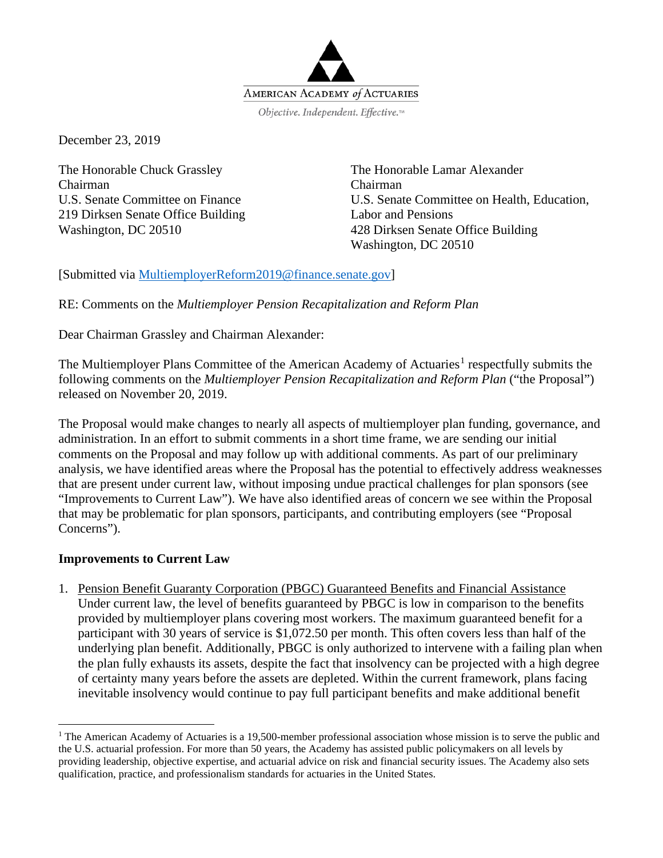

December 23, 2019

The Honorable Chuck Grassley Chairman U.S. Senate Committee on Finance 219 Dirksen Senate Office Building Washington, DC 20510

The Honorable Lamar Alexander Chairman U.S. Senate Committee on Health, Education, Labor and Pensions 428 Dirksen Senate Office Building Washington, DC 20510

[Submitted via [MultiemployerReform2019@finance.senate.gov\]](mailto:MultiemployerReform2019@finance.senate.gov)

RE: Comments on the *Multiemployer Pension Recapitalization and Reform Plan*

Dear Chairman Grassley and Chairman Alexander:

The Multiemployer Plans Committee of the American Academy of Actuaries<sup>[1](#page-0-0)</sup> respectfully submits the following comments on the *Multiemployer Pension Recapitalization and Reform Plan* ("the Proposal") released on November 20, 2019.

The Proposal would make changes to nearly all aspects of multiemployer plan funding, governance, and administration. In an effort to submit comments in a short time frame, we are sending our initial comments on the Proposal and may follow up with additional comments. As part of our preliminary analysis, we have identified areas where the Proposal has the potential to effectively address weaknesses that are present under current law, without imposing undue practical challenges for plan sponsors (see "Improvements to Current Law"). We have also identified areas of concern we see within the Proposal that may be problematic for plan sponsors, participants, and contributing employers (see "Proposal Concerns").

### **Improvements to Current Law**

1. Pension Benefit Guaranty Corporation (PBGC) Guaranteed Benefits and Financial Assistance Under current law, the level of benefits guaranteed by PBGC is low in comparison to the benefits provided by multiemployer plans covering most workers. The maximum guaranteed benefit for a participant with 30 years of service is \$1,072.50 per month. This often covers less than half of the underlying plan benefit. Additionally, PBGC is only authorized to intervene with a failing plan when the plan fully exhausts its assets, despite the fact that insolvency can be projected with a high degree of certainty many years before the assets are depleted. Within the current framework, plans facing inevitable insolvency would continue to pay full participant benefits and make additional benefit

<span id="page-0-0"></span><sup>&</sup>lt;sup>1</sup> The American Academy of Actuaries is a 19,500-member professional association whose mission is to serve the public and the U.S. actuarial profession. For more than 50 years, the Academy has assisted public policymakers on all levels by providing leadership, objective expertise, and actuarial advice on risk and financial security issues. The Academy also sets qualification, practice, and professionalism standards for actuaries in the United States.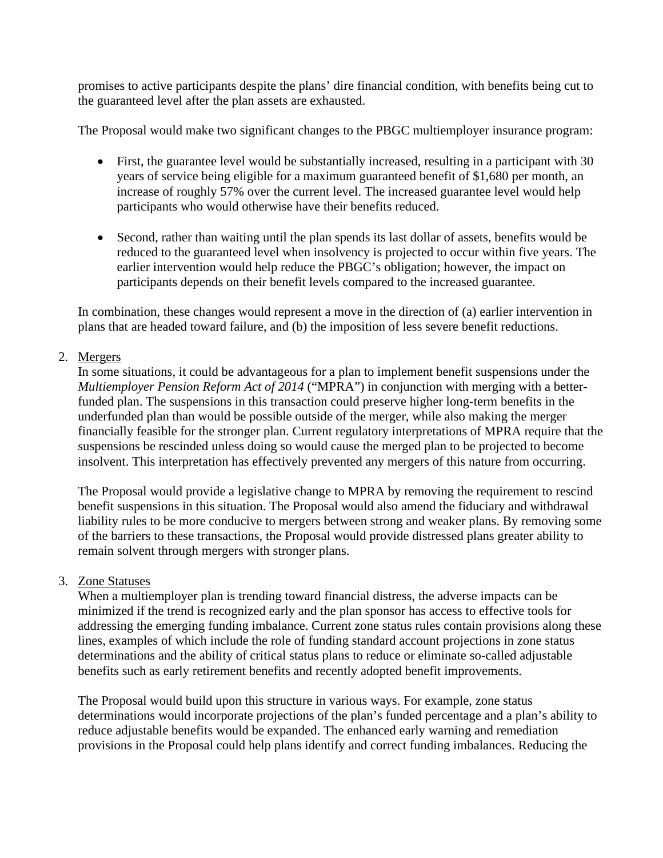promises to active participants despite the plans' dire financial condition, with benefits being cut to the guaranteed level after the plan assets are exhausted.

The Proposal would make two significant changes to the PBGC multiemployer insurance program:

- First, the guarantee level would be substantially increased, resulting in a participant with 30 years of service being eligible for a maximum guaranteed benefit of \$1,680 per month, an increase of roughly 57% over the current level. The increased guarantee level would help participants who would otherwise have their benefits reduced.
- Second, rather than waiting until the plan spends its last dollar of assets, benefits would be reduced to the guaranteed level when insolvency is projected to occur within five years. The earlier intervention would help reduce the PBGC's obligation; however, the impact on participants depends on their benefit levels compared to the increased guarantee.

In combination, these changes would represent a move in the direction of (a) earlier intervention in plans that are headed toward failure, and (b) the imposition of less severe benefit reductions.

# 2. Mergers

In some situations, it could be advantageous for a plan to implement benefit suspensions under the *Multiemployer Pension Reform Act of 2014* ("MPRA") in conjunction with merging with a betterfunded plan. The suspensions in this transaction could preserve higher long-term benefits in the underfunded plan than would be possible outside of the merger, while also making the merger financially feasible for the stronger plan. Current regulatory interpretations of MPRA require that the suspensions be rescinded unless doing so would cause the merged plan to be projected to become insolvent. This interpretation has effectively prevented any mergers of this nature from occurring.

The Proposal would provide a legislative change to MPRA by removing the requirement to rescind benefit suspensions in this situation. The Proposal would also amend the fiduciary and withdrawal liability rules to be more conducive to mergers between strong and weaker plans. By removing some of the barriers to these transactions, the Proposal would provide distressed plans greater ability to remain solvent through mergers with stronger plans.

### 3. Zone Statuses

When a multiemployer plan is trending toward financial distress, the adverse impacts can be minimized if the trend is recognized early and the plan sponsor has access to effective tools for addressing the emerging funding imbalance. Current zone status rules contain provisions along these lines, examples of which include the role of funding standard account projections in zone status determinations and the ability of critical status plans to reduce or eliminate so-called adjustable benefits such as early retirement benefits and recently adopted benefit improvements.

The Proposal would build upon this structure in various ways. For example, zone status determinations would incorporate projections of the plan's funded percentage and a plan's ability to reduce adjustable benefits would be expanded. The enhanced early warning and remediation provisions in the Proposal could help plans identify and correct funding imbalances. Reducing the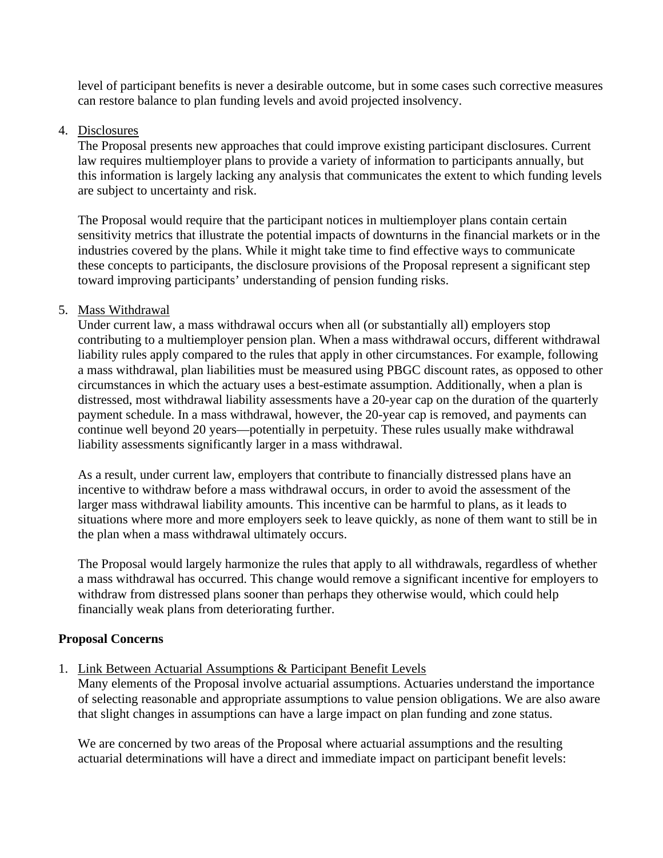level of participant benefits is never a desirable outcome, but in some cases such corrective measures can restore balance to plan funding levels and avoid projected insolvency.

### 4. Disclosures

The Proposal presents new approaches that could improve existing participant disclosures. Current law requires multiemployer plans to provide a variety of information to participants annually, but this information is largely lacking any analysis that communicates the extent to which funding levels are subject to uncertainty and risk.

The Proposal would require that the participant notices in multiemployer plans contain certain sensitivity metrics that illustrate the potential impacts of downturns in the financial markets or in the industries covered by the plans. While it might take time to find effective ways to communicate these concepts to participants, the disclosure provisions of the Proposal represent a significant step toward improving participants' understanding of pension funding risks.

### 5. Mass Withdrawal

Under current law, a mass withdrawal occurs when all (or substantially all) employers stop contributing to a multiemployer pension plan. When a mass withdrawal occurs, different withdrawal liability rules apply compared to the rules that apply in other circumstances. For example, following a mass withdrawal, plan liabilities must be measured using PBGC discount rates, as opposed to other circumstances in which the actuary uses a best-estimate assumption. Additionally, when a plan is distressed, most withdrawal liability assessments have a 20-year cap on the duration of the quarterly payment schedule. In a mass withdrawal, however, the 20-year cap is removed, and payments can continue well beyond 20 years—potentially in perpetuity. These rules usually make withdrawal liability assessments significantly larger in a mass withdrawal.

As a result, under current law, employers that contribute to financially distressed plans have an incentive to withdraw before a mass withdrawal occurs, in order to avoid the assessment of the larger mass withdrawal liability amounts. This incentive can be harmful to plans, as it leads to situations where more and more employers seek to leave quickly, as none of them want to still be in the plan when a mass withdrawal ultimately occurs.

The Proposal would largely harmonize the rules that apply to all withdrawals, regardless of whether a mass withdrawal has occurred. This change would remove a significant incentive for employers to withdraw from distressed plans sooner than perhaps they otherwise would, which could help financially weak plans from deteriorating further.

### **Proposal Concerns**

# 1. Link Between Actuarial Assumptions & Participant Benefit Levels

Many elements of the Proposal involve actuarial assumptions. Actuaries understand the importance of selecting reasonable and appropriate assumptions to value pension obligations. We are also aware that slight changes in assumptions can have a large impact on plan funding and zone status.

We are concerned by two areas of the Proposal where actuarial assumptions and the resulting actuarial determinations will have a direct and immediate impact on participant benefit levels: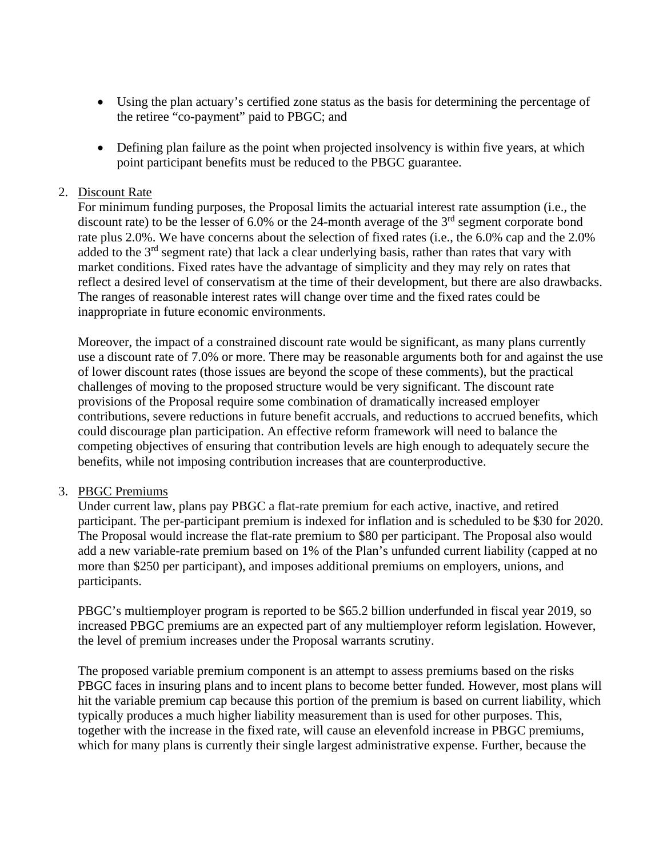- Using the plan actuary's certified zone status as the basis for determining the percentage of the retiree "co-payment" paid to PBGC; and
- Defining plan failure as the point when projected insolvency is within five years, at which point participant benefits must be reduced to the PBGC guarantee.

## 2. Discount Rate

For minimum funding purposes, the Proposal limits the actuarial interest rate assumption (i.e., the discount rate) to be the lesser of  $6.0\%$  or the 24-month average of the  $3<sup>rd</sup>$  segment corporate bond rate plus 2.0%. We have concerns about the selection of fixed rates (i.e., the 6.0% cap and the 2.0% added to the 3<sup>rd</sup> segment rate) that lack a clear underlying basis, rather than rates that vary with market conditions. Fixed rates have the advantage of simplicity and they may rely on rates that reflect a desired level of conservatism at the time of their development, but there are also drawbacks. The ranges of reasonable interest rates will change over time and the fixed rates could be inappropriate in future economic environments.

Moreover, the impact of a constrained discount rate would be significant, as many plans currently use a discount rate of 7.0% or more. There may be reasonable arguments both for and against the use of lower discount rates (those issues are beyond the scope of these comments), but the practical challenges of moving to the proposed structure would be very significant. The discount rate provisions of the Proposal require some combination of dramatically increased employer contributions, severe reductions in future benefit accruals, and reductions to accrued benefits, which could discourage plan participation. An effective reform framework will need to balance the competing objectives of ensuring that contribution levels are high enough to adequately secure the benefits, while not imposing contribution increases that are counterproductive.

### 3. PBGC Premiums

Under current law, plans pay PBGC a flat-rate premium for each active, inactive, and retired participant. The per-participant premium is indexed for inflation and is scheduled to be \$30 for 2020. The Proposal would increase the flat-rate premium to \$80 per participant. The Proposal also would add a new variable-rate premium based on 1% of the Plan's unfunded current liability (capped at no more than \$250 per participant), and imposes additional premiums on employers, unions, and participants.

PBGC's multiemployer program is reported to be \$65.2 billion underfunded in fiscal year 2019, so increased PBGC premiums are an expected part of any multiemployer reform legislation. However, the level of premium increases under the Proposal warrants scrutiny.

The proposed variable premium component is an attempt to assess premiums based on the risks PBGC faces in insuring plans and to incent plans to become better funded. However, most plans will hit the variable premium cap because this portion of the premium is based on current liability, which typically produces a much higher liability measurement than is used for other purposes. This, together with the increase in the fixed rate, will cause an elevenfold increase in PBGC premiums, which for many plans is currently their single largest administrative expense. Further, because the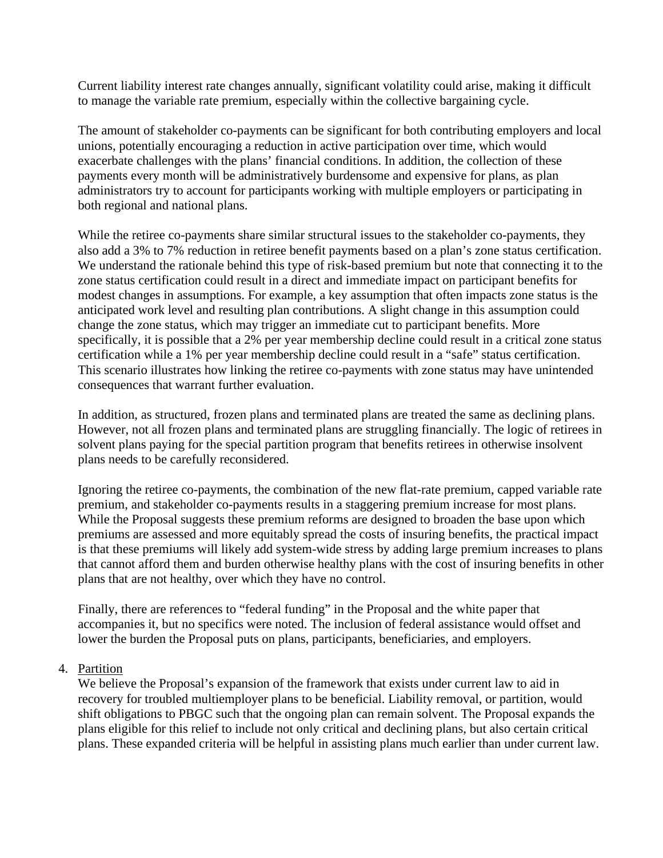Current liability interest rate changes annually, significant volatility could arise, making it difficult to manage the variable rate premium, especially within the collective bargaining cycle.

The amount of stakeholder co-payments can be significant for both contributing employers and local unions, potentially encouraging a reduction in active participation over time, which would exacerbate challenges with the plans' financial conditions. In addition, the collection of these payments every month will be administratively burdensome and expensive for plans, as plan administrators try to account for participants working with multiple employers or participating in both regional and national plans.

While the retiree co-payments share similar structural issues to the stakeholder co-payments, they also add a 3% to 7% reduction in retiree benefit payments based on a plan's zone status certification. We understand the rationale behind this type of risk-based premium but note that connecting it to the zone status certification could result in a direct and immediate impact on participant benefits for modest changes in assumptions. For example, a key assumption that often impacts zone status is the anticipated work level and resulting plan contributions. A slight change in this assumption could change the zone status, which may trigger an immediate cut to participant benefits. More specifically, it is possible that a 2% per year membership decline could result in a critical zone status certification while a 1% per year membership decline could result in a "safe" status certification. This scenario illustrates how linking the retiree co-payments with zone status may have unintended consequences that warrant further evaluation.

In addition, as structured, frozen plans and terminated plans are treated the same as declining plans. However, not all frozen plans and terminated plans are struggling financially. The logic of retirees in solvent plans paying for the special partition program that benefits retirees in otherwise insolvent plans needs to be carefully reconsidered.

Ignoring the retiree co-payments, the combination of the new flat-rate premium, capped variable rate premium, and stakeholder co-payments results in a staggering premium increase for most plans. While the Proposal suggests these premium reforms are designed to broaden the base upon which premiums are assessed and more equitably spread the costs of insuring benefits, the practical impact is that these premiums will likely add system-wide stress by adding large premium increases to plans that cannot afford them and burden otherwise healthy plans with the cost of insuring benefits in other plans that are not healthy, over which they have no control.

Finally, there are references to "federal funding" in the Proposal and the white paper that accompanies it, but no specifics were noted. The inclusion of federal assistance would offset and lower the burden the Proposal puts on plans, participants, beneficiaries, and employers.

### 4. Partition

We believe the Proposal's expansion of the framework that exists under current law to aid in recovery for troubled multiemployer plans to be beneficial. Liability removal, or partition, would shift obligations to PBGC such that the ongoing plan can remain solvent. The Proposal expands the plans eligible for this relief to include not only critical and declining plans, but also certain critical plans. These expanded criteria will be helpful in assisting plans much earlier than under current law.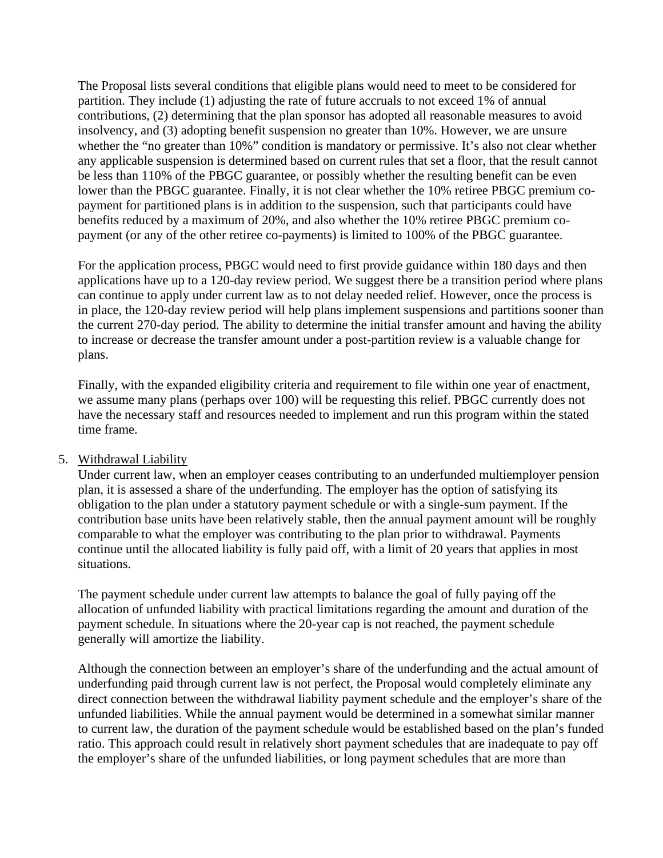The Proposal lists several conditions that eligible plans would need to meet to be considered for partition. They include (1) adjusting the rate of future accruals to not exceed 1% of annual contributions, (2) determining that the plan sponsor has adopted all reasonable measures to avoid insolvency, and (3) adopting benefit suspension no greater than 10%. However, we are unsure whether the "no greater than 10%" condition is mandatory or permissive. It's also not clear whether any applicable suspension is determined based on current rules that set a floor, that the result cannot be less than 110% of the PBGC guarantee, or possibly whether the resulting benefit can be even lower than the PBGC guarantee. Finally, it is not clear whether the 10% retiree PBGC premium copayment for partitioned plans is in addition to the suspension, such that participants could have benefits reduced by a maximum of 20%, and also whether the 10% retiree PBGC premium copayment (or any of the other retiree co-payments) is limited to 100% of the PBGC guarantee.

For the application process, PBGC would need to first provide guidance within 180 days and then applications have up to a 120-day review period. We suggest there be a transition period where plans can continue to apply under current law as to not delay needed relief. However, once the process is in place, the 120-day review period will help plans implement suspensions and partitions sooner than the current 270-day period. The ability to determine the initial transfer amount and having the ability to increase or decrease the transfer amount under a post-partition review is a valuable change for plans.

Finally, with the expanded eligibility criteria and requirement to file within one year of enactment, we assume many plans (perhaps over 100) will be requesting this relief. PBGC currently does not have the necessary staff and resources needed to implement and run this program within the stated time frame.

### 5. Withdrawal Liability

Under current law, when an employer ceases contributing to an underfunded multiemployer pension plan, it is assessed a share of the underfunding. The employer has the option of satisfying its obligation to the plan under a statutory payment schedule or with a single-sum payment. If the contribution base units have been relatively stable, then the annual payment amount will be roughly comparable to what the employer was contributing to the plan prior to withdrawal. Payments continue until the allocated liability is fully paid off, with a limit of 20 years that applies in most situations.

The payment schedule under current law attempts to balance the goal of fully paying off the allocation of unfunded liability with practical limitations regarding the amount and duration of the payment schedule. In situations where the 20-year cap is not reached, the payment schedule generally will amortize the liability.

Although the connection between an employer's share of the underfunding and the actual amount of underfunding paid through current law is not perfect, the Proposal would completely eliminate any direct connection between the withdrawal liability payment schedule and the employer's share of the unfunded liabilities. While the annual payment would be determined in a somewhat similar manner to current law, the duration of the payment schedule would be established based on the plan's funded ratio. This approach could result in relatively short payment schedules that are inadequate to pay off the employer's share of the unfunded liabilities, or long payment schedules that are more than